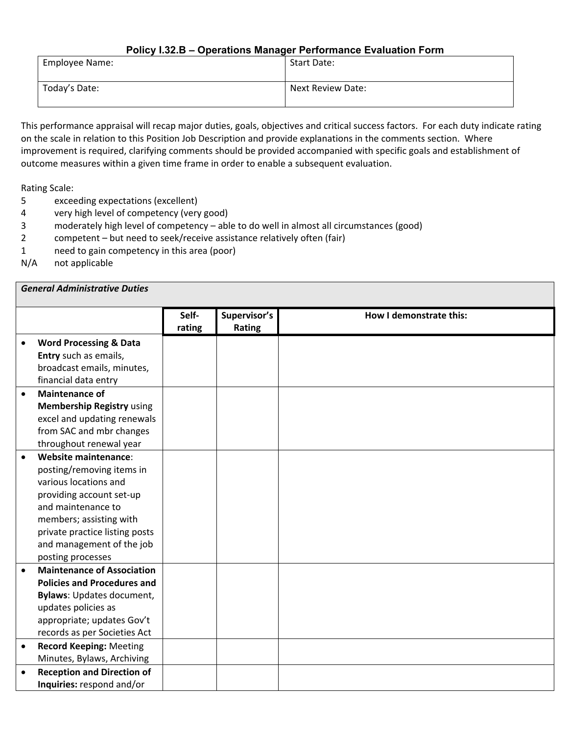#### **Policy I.32.B – Operations Manager Performance Evaluation Form**

| Employee Name: | Start Date:       |
|----------------|-------------------|
| Today's Date:  | Next Review Date: |

This performance appraisal will recap major duties, goals, objectives and critical success factors. For each duty indicate rating on the scale in relation to this Position Job Description and provide explanations in the comments section. Where improvement is required, clarifying comments should be provided accompanied with specific goals and establishment of outcome measures within a given time frame in order to enable a subsequent evaluation.

Rating Scale:

- 5 exceeding expectations (excellent)
- 4 very high level of competency (very good)
- 3 moderately high level of competency able to do well in almost all circumstances (good)
- 2 competent but need to seek/receive assistance relatively often (fair)
- 1 need to gain competency in this area (poor)
- N/A not applicable

|           | <b>General Administrative Duties</b> |                 |                        |                         |
|-----------|--------------------------------------|-----------------|------------------------|-------------------------|
|           |                                      | Self-<br>rating | Supervisor's<br>Rating | How I demonstrate this: |
|           | <b>Word Processing &amp; Data</b>    |                 |                        |                         |
|           | Entry such as emails,                |                 |                        |                         |
|           | broadcast emails, minutes,           |                 |                        |                         |
|           | financial data entry                 |                 |                        |                         |
| $\bullet$ | <b>Maintenance of</b>                |                 |                        |                         |
|           | <b>Membership Registry using</b>     |                 |                        |                         |
|           | excel and updating renewals          |                 |                        |                         |
|           | from SAC and mbr changes             |                 |                        |                         |
|           | throughout renewal year              |                 |                        |                         |
| $\bullet$ | Website maintenance:                 |                 |                        |                         |
|           | posting/removing items in            |                 |                        |                         |
|           | various locations and                |                 |                        |                         |
|           | providing account set-up             |                 |                        |                         |
|           | and maintenance to                   |                 |                        |                         |
|           | members; assisting with              |                 |                        |                         |
|           | private practice listing posts       |                 |                        |                         |
|           | and management of the job            |                 |                        |                         |
|           | posting processes                    |                 |                        |                         |
| $\bullet$ | <b>Maintenance of Association</b>    |                 |                        |                         |
|           | <b>Policies and Procedures and</b>   |                 |                        |                         |
|           | <b>Bylaws: Updates document,</b>     |                 |                        |                         |
|           | updates policies as                  |                 |                        |                         |
|           | appropriate; updates Gov't           |                 |                        |                         |
|           | records as per Societies Act         |                 |                        |                         |
| $\bullet$ | <b>Record Keeping: Meeting</b>       |                 |                        |                         |
|           | Minutes, Bylaws, Archiving           |                 |                        |                         |
| $\bullet$ | <b>Reception and Direction of</b>    |                 |                        |                         |
|           | Inquiries: respond and/or            |                 |                        |                         |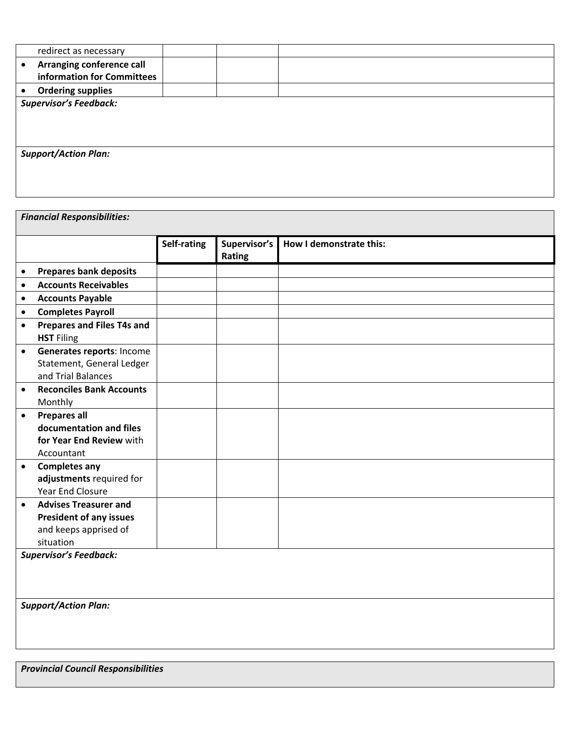|           | redirect as necessary                                   |  |  |  |  |  |  |  |
|-----------|---------------------------------------------------------|--|--|--|--|--|--|--|
| $\bullet$ | Arranging conference call<br>information for Committees |  |  |  |  |  |  |  |
| $\bullet$ | <b>Ordering supplies</b>                                |  |  |  |  |  |  |  |
|           | <b>Supervisor's Feedback:</b>                           |  |  |  |  |  |  |  |
|           |                                                         |  |  |  |  |  |  |  |
|           |                                                         |  |  |  |  |  |  |  |
|           |                                                         |  |  |  |  |  |  |  |
|           | <b>Support/Action Plan:</b>                             |  |  |  |  |  |  |  |
|           |                                                         |  |  |  |  |  |  |  |
|           |                                                         |  |  |  |  |  |  |  |
|           |                                                         |  |  |  |  |  |  |  |

|           | <b>Financial Responsibilities:</b>                                                                   |             |                        |                         |  |  |
|-----------|------------------------------------------------------------------------------------------------------|-------------|------------------------|-------------------------|--|--|
|           |                                                                                                      | Self-rating | Supervisor's<br>Rating | How I demonstrate this: |  |  |
| $\bullet$ | <b>Prepares bank deposits</b>                                                                        |             |                        |                         |  |  |
| $\bullet$ | <b>Accounts Receivables</b>                                                                          |             |                        |                         |  |  |
| $\bullet$ | <b>Accounts Payable</b>                                                                              |             |                        |                         |  |  |
| $\bullet$ | <b>Completes Payroll</b>                                                                             |             |                        |                         |  |  |
| $\bullet$ | Prepares and Files T4s and<br><b>HST</b> Filing                                                      |             |                        |                         |  |  |
| $\bullet$ | Generates reports: Income<br>Statement, General Ledger<br>and Trial Balances                         |             |                        |                         |  |  |
| $\bullet$ | <b>Reconciles Bank Accounts</b><br>Monthly                                                           |             |                        |                         |  |  |
| $\bullet$ | <b>Prepares all</b><br>documentation and files<br>for Year End Review with<br>Accountant             |             |                        |                         |  |  |
| $\bullet$ | <b>Completes any</b><br>adjustments required for<br>Year End Closure                                 |             |                        |                         |  |  |
| $\bullet$ | <b>Advises Treasurer and</b><br><b>President of any issues</b><br>and keeps apprised of<br>situation |             |                        |                         |  |  |
|           | <b>Supervisor's Feedback:</b>                                                                        |             |                        |                         |  |  |
|           | <b>Support/Action Plan:</b>                                                                          |             |                        |                         |  |  |

*Provincial Council Responsibilities*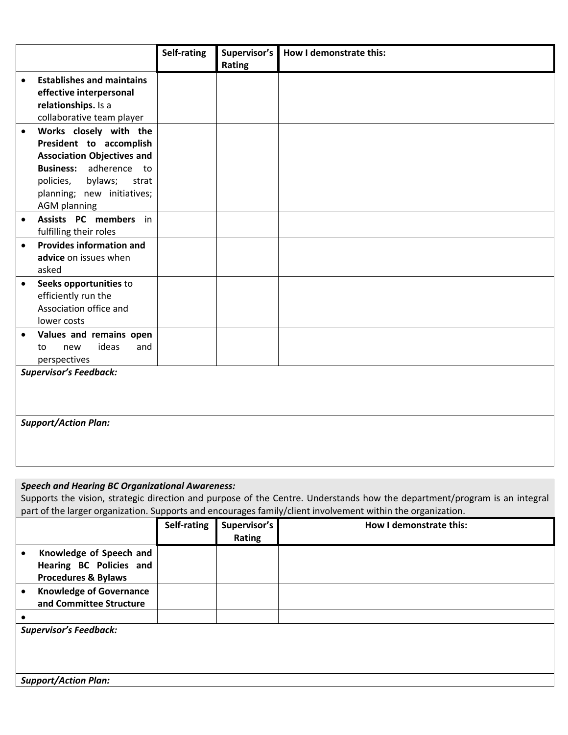|           |                                   | Self-rating | Supervisor's |                         |
|-----------|-----------------------------------|-------------|--------------|-------------------------|
|           |                                   |             |              | How I demonstrate this: |
|           |                                   |             | Rating       |                         |
| $\bullet$ | <b>Establishes and maintains</b>  |             |              |                         |
|           | effective interpersonal           |             |              |                         |
|           | relationships. Is a               |             |              |                         |
|           | collaborative team player         |             |              |                         |
| $\bullet$ | Works closely with the            |             |              |                         |
|           | President to accomplish           |             |              |                         |
|           | <b>Association Objectives and</b> |             |              |                         |
|           | Business: adherence to            |             |              |                         |
|           | bylaws;<br>policies,<br>strat     |             |              |                         |
|           | planning; new initiatives;        |             |              |                         |
|           | <b>AGM planning</b>               |             |              |                         |
| $\bullet$ | Assists PC members in             |             |              |                         |
|           | fulfilling their roles            |             |              |                         |
| $\bullet$ | <b>Provides information and</b>   |             |              |                         |
|           | advice on issues when             |             |              |                         |
|           | asked                             |             |              |                         |
| $\bullet$ | Seeks opportunities to            |             |              |                         |
|           | efficiently run the               |             |              |                         |
|           | Association office and            |             |              |                         |
|           | lower costs                       |             |              |                         |
| $\bullet$ | Values and remains open           |             |              |                         |
|           | ideas<br>new<br>and<br>to         |             |              |                         |
|           | perspectives                      |             |              |                         |
|           | <b>Supervisor's Feedback:</b>     |             |              |                         |
|           |                                   |             |              |                         |
|           |                                   |             |              |                         |
|           |                                   |             |              |                         |
|           |                                   |             |              |                         |
|           |                                   |             |              |                         |
|           |                                   |             |              |                         |
|           |                                   |             |              |                         |
|           | <b>Support/Action Plan:</b>       |             |              |                         |

# *Speech and Hearing BC Organizational Awareness:*

| Supports the vision, strategic direction and purpose of the Centre. Understands how the department/program is an integral |  |  |  |
|---------------------------------------------------------------------------------------------------------------------------|--|--|--|
| part of the larger organization. Supports and encourages family/client involvement within the organization.               |  |  |  |

|                                                                                      | Self-rating | Supervisor's<br><b>Rating</b> | How I demonstrate this: |
|--------------------------------------------------------------------------------------|-------------|-------------------------------|-------------------------|
| Knowledge of Speech and<br>Hearing BC Policies and<br><b>Procedures &amp; Bylaws</b> |             |                               |                         |
| <b>Knowledge of Governance</b><br>and Committee Structure                            |             |                               |                         |
|                                                                                      |             |                               |                         |
| <b>Supervisor's Feedback:</b>                                                        |             |                               |                         |
|                                                                                      |             |                               |                         |
| <b>Support/Action Plan:</b>                                                          |             |                               |                         |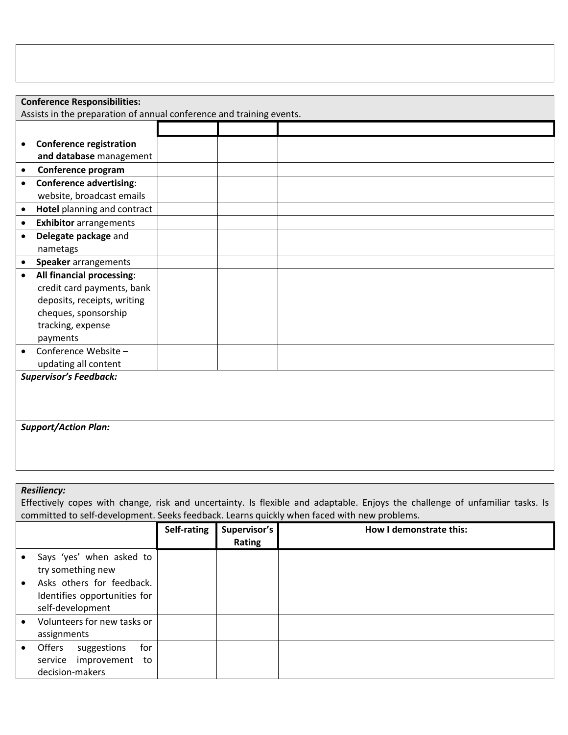|                               | <b>Conference Responsibilities:</b>                                                                                          |             |              |                                                                                             |  |  |  |  |
|-------------------------------|------------------------------------------------------------------------------------------------------------------------------|-------------|--------------|---------------------------------------------------------------------------------------------|--|--|--|--|
|                               | Assists in the preparation of annual conference and training events.                                                         |             |              |                                                                                             |  |  |  |  |
|                               |                                                                                                                              |             |              |                                                                                             |  |  |  |  |
| $\bullet$                     | <b>Conference registration</b>                                                                                               |             |              |                                                                                             |  |  |  |  |
|                               | and database management                                                                                                      |             |              |                                                                                             |  |  |  |  |
| $\bullet$                     | Conference program                                                                                                           |             |              |                                                                                             |  |  |  |  |
| $\bullet$                     | <b>Conference advertising:</b>                                                                                               |             |              |                                                                                             |  |  |  |  |
|                               | website, broadcast emails                                                                                                    |             |              |                                                                                             |  |  |  |  |
| $\bullet$                     | Hotel planning and contract                                                                                                  |             |              |                                                                                             |  |  |  |  |
| $\bullet$                     | <b>Exhibitor</b> arrangements                                                                                                |             |              |                                                                                             |  |  |  |  |
| $\bullet$                     | Delegate package and                                                                                                         |             |              |                                                                                             |  |  |  |  |
|                               | nametags                                                                                                                     |             |              |                                                                                             |  |  |  |  |
| $\bullet$                     | Speaker arrangements                                                                                                         |             |              |                                                                                             |  |  |  |  |
| $\bullet$                     | All financial processing:                                                                                                    |             |              |                                                                                             |  |  |  |  |
|                               | credit card payments, bank                                                                                                   |             |              |                                                                                             |  |  |  |  |
|                               | deposits, receipts, writing                                                                                                  |             |              |                                                                                             |  |  |  |  |
|                               | cheques, sponsorship                                                                                                         |             |              |                                                                                             |  |  |  |  |
|                               | tracking, expense                                                                                                            |             |              |                                                                                             |  |  |  |  |
|                               | payments                                                                                                                     |             |              |                                                                                             |  |  |  |  |
| $\bullet$                     | Conference Website-                                                                                                          |             |              |                                                                                             |  |  |  |  |
|                               | updating all content                                                                                                         |             |              |                                                                                             |  |  |  |  |
| <b>Supervisor's Feedback:</b> |                                                                                                                              |             |              |                                                                                             |  |  |  |  |
|                               |                                                                                                                              |             |              |                                                                                             |  |  |  |  |
|                               |                                                                                                                              |             |              |                                                                                             |  |  |  |  |
|                               |                                                                                                                              |             |              |                                                                                             |  |  |  |  |
|                               | <b>Support/Action Plan:</b>                                                                                                  |             |              |                                                                                             |  |  |  |  |
|                               |                                                                                                                              |             |              |                                                                                             |  |  |  |  |
|                               |                                                                                                                              |             |              |                                                                                             |  |  |  |  |
|                               |                                                                                                                              |             |              |                                                                                             |  |  |  |  |
|                               | <b>Resiliency:</b>                                                                                                           |             |              |                                                                                             |  |  |  |  |
|                               | Effectively copes with change, risk and uncertainty. Is flexible and adaptable. Enjoys the challenge of unfamiliar tasks. Is |             |              |                                                                                             |  |  |  |  |
|                               |                                                                                                                              |             |              | committed to self-development. Seeks feedback. Learns quickly when faced with new problems. |  |  |  |  |
|                               |                                                                                                                              | Self-rating | Supervisor's | How I demonstrate this:                                                                     |  |  |  |  |
|                               |                                                                                                                              |             | Rating       |                                                                                             |  |  |  |  |
|                               | Says 'yes' when asked to                                                                                                     |             |              |                                                                                             |  |  |  |  |

| Says 'yes' when asked to     |  |
|------------------------------|--|
| try something new            |  |
| Asks others for feedback.    |  |
| Identifies opportunities for |  |
| self-development             |  |
| Volunteers for new tasks or  |  |
| assignments                  |  |
| Offers<br>suggestions<br>for |  |
| service improvement to       |  |
| decision-makers              |  |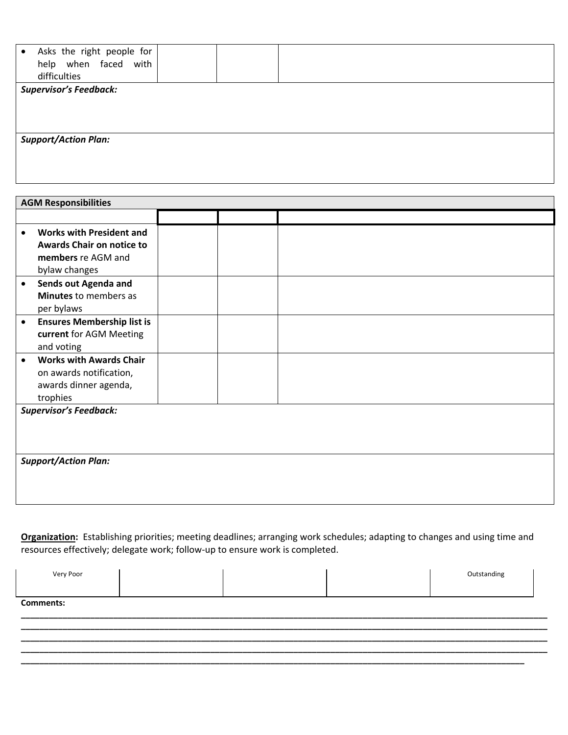| Asks the right people for<br>$\bullet$<br>help when faced with<br>difficulties |  |  |  |  |  |  |
|--------------------------------------------------------------------------------|--|--|--|--|--|--|
| <b>Supervisor's Feedback:</b>                                                  |  |  |  |  |  |  |
|                                                                                |  |  |  |  |  |  |
|                                                                                |  |  |  |  |  |  |
|                                                                                |  |  |  |  |  |  |
| <b>Support/Action Plan:</b>                                                    |  |  |  |  |  |  |
|                                                                                |  |  |  |  |  |  |
|                                                                                |  |  |  |  |  |  |

|           | <b>AGM Responsibilities</b>                                                                                |  |  |  |  |
|-----------|------------------------------------------------------------------------------------------------------------|--|--|--|--|
|           |                                                                                                            |  |  |  |  |
|           | <b>Works with President and</b><br><b>Awards Chair on notice to</b><br>members re AGM and<br>bylaw changes |  |  |  |  |
| $\bullet$ | Sends out Agenda and<br><b>Minutes</b> to members as<br>per bylaws                                         |  |  |  |  |
| $\bullet$ | <b>Ensures Membership list is</b><br>current for AGM Meeting<br>and voting                                 |  |  |  |  |
| $\bullet$ | <b>Works with Awards Chair</b><br>on awards notification,<br>awards dinner agenda,<br>trophies             |  |  |  |  |
|           | <b>Supervisor's Feedback:</b>                                                                              |  |  |  |  |
|           |                                                                                                            |  |  |  |  |
|           | <b>Support/Action Plan:</b>                                                                                |  |  |  |  |

**Organization:** Establishing priorities; meeting deadlines; arranging work schedules; adapting to changes and using time and resources effectively; delegate work; follow-up to ensure work is completed.

| Very Poor        |  |  |  | Outstanding |  |  |
|------------------|--|--|--|-------------|--|--|
|                  |  |  |  |             |  |  |
| <b>Comments:</b> |  |  |  |             |  |  |
|                  |  |  |  |             |  |  |

**\_\_\_\_\_\_\_\_\_\_\_\_\_\_\_\_\_\_\_\_\_\_\_\_\_\_\_\_\_\_\_\_\_\_\_\_\_\_\_\_\_\_\_\_\_\_\_\_\_\_\_\_\_\_\_\_\_\_\_\_\_\_\_\_\_\_\_\_\_\_\_\_\_\_\_\_\_\_\_\_\_\_\_\_\_\_\_\_\_\_\_\_\_\_\_\_\_\_\_\_\_\_\_\_\_\_\_\_\_\_\_\_\_\_ \_\_\_\_\_\_\_\_\_\_\_\_\_\_\_\_\_\_\_\_\_\_\_\_\_\_\_\_\_\_\_\_\_\_\_\_\_\_\_\_\_\_\_\_\_\_\_\_\_\_\_\_\_\_\_\_\_\_\_\_\_\_\_\_\_\_\_\_\_\_\_\_\_\_\_\_\_\_\_\_\_\_\_\_\_\_\_\_\_\_\_\_\_\_\_\_\_\_\_\_\_\_\_\_\_\_\_\_\_\_\_\_\_\_ \_\_\_\_\_\_\_\_\_\_\_\_\_\_\_\_\_\_\_\_\_\_\_\_\_\_\_\_\_\_\_\_\_\_\_\_\_\_\_\_\_\_\_\_\_\_\_\_\_\_\_\_\_\_\_\_\_\_\_\_\_\_\_\_\_\_\_\_\_\_\_\_\_\_\_\_\_\_\_\_\_\_\_\_\_\_\_\_\_\_\_\_\_\_\_\_\_\_\_\_\_\_\_\_\_\_\_\_\_\_\_\_\_\_ \_\_\_\_\_\_\_\_\_\_\_\_\_\_\_\_\_\_\_\_\_\_\_\_\_\_\_\_\_\_\_\_\_\_\_\_\_\_\_\_\_\_\_\_\_\_\_\_\_\_\_\_\_\_\_\_\_\_\_\_\_\_\_\_\_\_\_\_\_\_\_\_\_\_\_\_\_\_\_\_\_\_\_\_\_\_\_\_\_\_\_\_\_\_\_\_\_\_\_\_\_\_\_\_\_\_\_\_\_**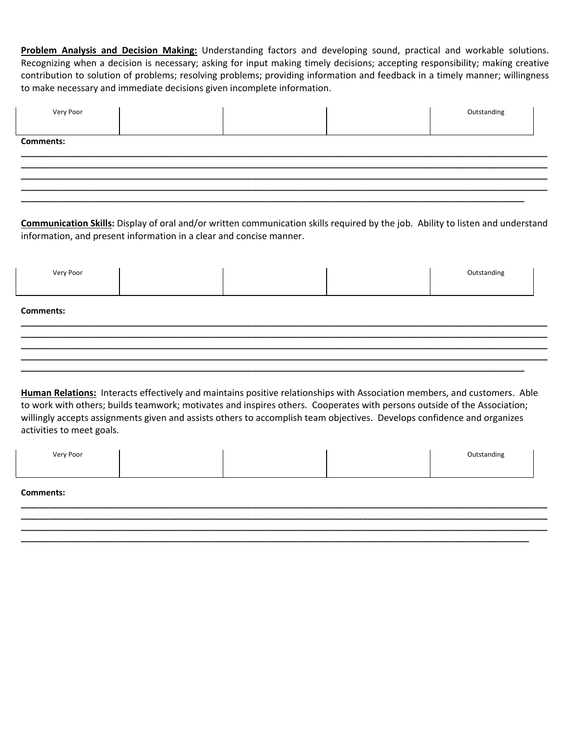**Problem Analysis and Decision Making:** Understanding factors and developing sound, practical and workable solutions. Recognizing when a decision is necessary; asking for input making timely decisions; accepting responsibility; making creative contribution to solution of problems; resolving problems; providing information and feedback in a timely manner; willingness to make necessary and immediate decisions given incomplete information.

| Very Poor        |  | Outstanding |
|------------------|--|-------------|
| <b>Comments:</b> |  |             |
|                  |  |             |
|                  |  |             |

**Communication Skills:** Display of oral and/or written communication skills required by the job. Ability to listen and understand information, and present information in a clear and concise manner.

| Very Poor        |  |  |  | Outstanding |  |
|------------------|--|--|--|-------------|--|
| <b>Comments:</b> |  |  |  |             |  |
|                  |  |  |  |             |  |
|                  |  |  |  |             |  |

**Human Relations:** Interacts effectively and maintains positive relationships with Association members, and customers. Able to work with others; builds teamwork; motivates and inspires others. Cooperates with persons outside of the Association; willingly accepts assignments given and assists others to accomplish team objectives. Develops confidence and organizes activities to meet goals.

| Very Poor |  | Outstanding |
|-----------|--|-------------|
|           |  |             |

**\_\_\_\_\_\_\_\_\_\_\_\_\_\_\_\_\_\_\_\_\_\_\_\_\_\_\_\_\_\_\_\_\_\_\_\_\_\_\_\_\_\_\_\_\_\_\_\_\_\_\_\_\_\_\_\_\_\_\_\_\_\_\_\_\_\_\_\_\_\_\_\_\_\_\_\_\_\_\_\_\_\_\_\_\_\_\_\_\_\_\_\_\_\_\_\_\_\_\_\_\_\_\_\_\_\_\_\_\_\_\_\_\_\_ \_\_\_\_\_\_\_\_\_\_\_\_\_\_\_\_\_\_\_\_\_\_\_\_\_\_\_\_\_\_\_\_\_\_\_\_\_\_\_\_\_\_\_\_\_\_\_\_\_\_\_\_\_\_\_\_\_\_\_\_\_\_\_\_\_\_\_\_\_\_\_\_\_\_\_\_\_\_\_\_\_\_\_\_\_\_\_\_\_\_\_\_\_\_\_\_\_\_\_\_\_\_\_\_\_\_\_\_\_\_\_\_\_\_ \_\_\_\_\_\_\_\_\_\_\_\_\_\_\_\_\_\_\_\_\_\_\_\_\_\_\_\_\_\_\_\_\_\_\_\_\_\_\_\_\_\_\_\_\_\_\_\_\_\_\_\_\_\_\_\_\_\_\_\_\_\_\_\_\_\_\_\_\_\_\_\_\_\_\_\_\_\_\_\_\_\_\_\_\_\_\_\_\_\_\_\_\_\_\_\_\_\_\_\_\_\_\_\_\_\_\_\_\_\_\_\_\_\_ \_\_\_\_\_\_\_\_\_\_\_\_\_\_\_\_\_\_\_\_\_\_\_\_\_\_\_\_\_\_\_\_\_\_\_\_\_\_\_\_\_\_\_\_\_\_\_\_\_\_\_\_\_\_\_\_\_\_\_\_\_\_\_\_\_\_\_\_\_\_\_\_\_\_\_\_\_\_\_\_\_\_\_\_\_\_\_\_\_\_\_\_\_\_\_\_\_\_\_\_\_\_\_\_\_\_\_\_\_\_** 

#### **Comments:**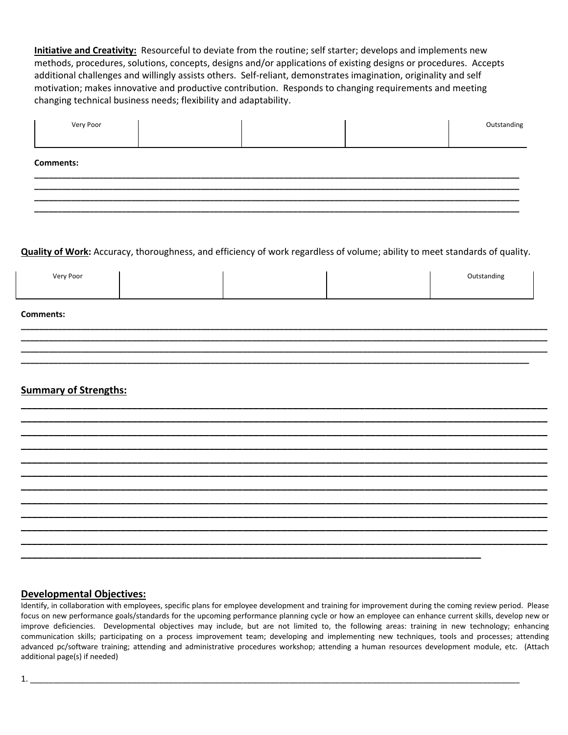**Initiative and Creativity:** Resourceful to deviate from the routine; self starter; develops and implements new methods, procedures, solutions, concepts, designs and/or applications of existing designs or procedures. Accepts additional challenges and willingly assists others. Self‐reliant, demonstrates imagination, originality and self motivation; makes innovative and productive contribution. Responds to changing requirements and meeting changing technical business needs; flexibility and adaptability.

| Very Poor        |  | Outstanding |
|------------------|--|-------------|
| <b>Comments:</b> |  |             |
|                  |  |             |
|                  |  |             |

**Quality of Work:** Accuracy, thoroughness, and efficiency of work regardless of volume; ability to meet standards of quality.

| Very Poor |  | Outstanding |
|-----------|--|-------------|
|           |  |             |
|           |  |             |
|           |  |             |

**\_\_\_\_\_\_\_\_\_\_\_\_\_\_\_\_\_\_\_\_\_\_\_\_\_\_\_\_\_\_\_\_\_\_\_\_\_\_\_\_\_\_\_\_\_\_\_\_\_\_\_\_\_\_\_\_\_\_\_\_\_\_\_\_\_\_\_\_\_\_\_\_\_\_\_\_\_\_\_\_\_\_\_\_\_\_\_\_\_\_\_\_\_\_\_\_\_\_\_\_\_\_\_\_\_\_\_\_\_\_\_\_\_\_ \_\_\_\_\_\_\_\_\_\_\_\_\_\_\_\_\_\_\_\_\_\_\_\_\_\_\_\_\_\_\_\_\_\_\_\_\_\_\_\_\_\_\_\_\_\_\_\_\_\_\_\_\_\_\_\_\_\_\_\_\_\_\_\_\_\_\_\_\_\_\_\_\_\_\_\_\_\_\_\_\_\_\_\_\_\_\_\_\_\_\_\_\_\_\_\_\_\_\_\_\_\_\_\_\_\_\_\_\_\_\_\_\_\_ \_\_\_\_\_\_\_\_\_\_\_\_\_\_\_\_\_\_\_\_\_\_\_\_\_\_\_\_\_\_\_\_\_\_\_\_\_\_\_\_\_\_\_\_\_\_\_\_\_\_\_\_\_\_\_\_\_\_\_\_\_\_\_\_\_\_\_\_\_\_\_\_\_\_\_\_\_\_\_\_\_\_\_\_\_\_\_\_\_\_\_\_\_\_\_\_\_\_\_\_\_\_\_\_\_\_\_\_\_\_\_\_\_\_ \_\_\_\_\_\_\_\_\_\_\_\_\_\_\_\_\_\_\_\_\_\_\_\_\_\_\_\_\_\_\_\_\_\_\_\_\_\_\_\_\_\_\_\_\_\_\_\_\_\_\_\_\_\_\_\_\_\_\_\_\_\_\_\_\_\_\_\_\_\_\_\_\_\_\_\_\_\_\_\_\_\_\_\_\_\_\_\_\_\_\_\_\_\_\_\_\_\_\_\_\_\_\_\_\_\_\_\_\_\_** 

**Comments:** 

### **Summary of Strengths:**

| _________ |  | _______                                                   |
|-----------|--|-----------------------------------------------------------|
|           |  | ________                                                  |
|           |  |                                                           |
|           |  | أحمادهم المعاملين المعارضين المعارضين المعاملين المعارفين |
|           |  |                                                           |
|           |  |                                                           |
|           |  |                                                           |
|           |  | أحمد المساومات المساومات والمنازل                         |
|           |  |                                                           |
|           |  |                                                           |

### **Developmental Objectives:**

Identify, in collaboration with employees, specific plans for employee development and training for improvement during the coming review period. Please focus on new performance goals/standards for the upcoming performance planning cycle or how an employee can enhance current skills, develop new or improve deficiencies. Developmental objectives may include, but are not limited to, the following areas: training in new technology; enhancing communication skills; participating on a process improvement team; developing and implementing new techniques, tools and processes; attending advanced pc/software training; attending and administrative procedures workshop; attending a human resources development module, etc. (Attach additional page(s) if needed)